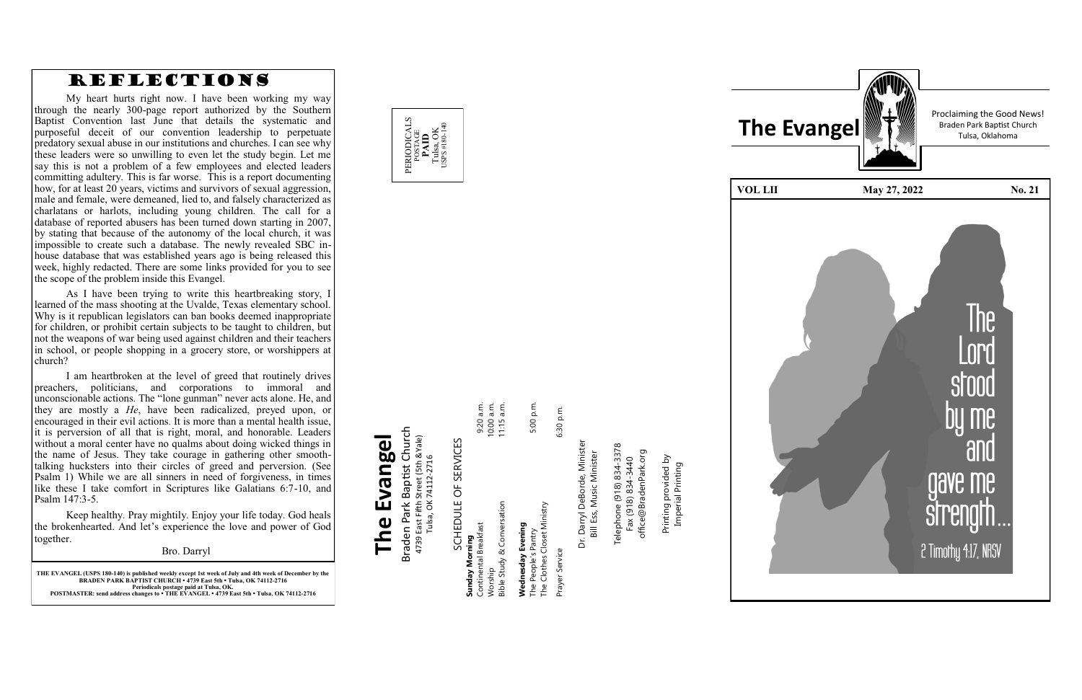

**THE EVANGEL (USPS 180 -140) is published weekly except 1st week of July and 4th week of December by the BRADEN PARK BAPTIST CHURCH • 4739 East 5th • Tulsa, OK 74112 -2716 Periodicals postage paid at Tulsa, OK. POSTMASTER: send address changes to • THE EVANGEL • 4739 East 5th • Tulsa, OK 74112 -2716**

## Braden Park Baptist Church<br>4739 East Fifth Street (5th &Yale)<br>Tulsa, OK 74112-2716 Braden Park Baptist Church **The Evangel** 4739 East Fifth Street (5th &Yale) The Evangel Tulsa, OK 74112-2716

SCHEDULE OF SERVICES SCHEDULE OF SERVICES

9:20 a.m.<br>10:00 a.m.<br>11:15 a.m. 5:00 p.m. Continental Breakfast 9:20 a.m. Worship 10:00 a.m. Bible Study & Conversation 11:15 a.m. The People's Pantry 5:00 p.m. **Wednesday Evening**<br>The People's Pantry<br>The Clothes Closet Ministry Bible Study & Conversation **Sunday Morning**<br>Continental Breakfast **Wednesday Evening Sunday Morning** /orship

Prayer Service 6:30 p.m. The Clothes Closet Ministry Prayer Service

6:30 p.m.



Telephone (918) 834-3378<br>Fax (918) 834-3440 Telephone (918) 834-3378 office@BradenPark.org office@BradenPark.org Fax (918) 834-3440

Dr. Darryl DeBorde, Minister Dr. Darryl DeBorde, Minister<br>Bill Ess, Music Minister Bill Ess, Music Minister

Printing provided by Printing provided by<br>Imperial Printing Imperial Printing

| <b>VOL LII</b> |
|----------------|
|                |
|                |
|                |
|                |
|                |
|                |
|                |
|                |
|                |
|                |
|                |
|                |
|                |
|                |
|                |
|                |
|                |
|                |
|                |

Proclaiming the Good News!



## REFLECTIONS

My heart hurts right now. I have been working my way through the nearly 300 -page report authorized by the Southern Baptist Convention last June that details the systematic and purposeful deceit of our convention leadership to perpetuate predatory sexual abuse in our institutions and churches. I can see why these leaders were so unwilling to even let the study begin. Let me say this is not a problem of a few employees and elected leaders committing adultery. This is far worse. This is a report documenting how, for at least 20 years, victims and survivors of sexual aggression, male and female, were demeaned, lied to, and falsely characterized as charlatans or harlots, including young children. The call for a database of reported abusers has been turned down starting in 2007, by stating that because of the autonomy of the local church, it was impossible to create such a database. The newly revealed SBC in house database that was established years ago is being released this week, highly redacted. There are some links provided for you to see the scope of the problem inside this Evangel.

As I have been trying to write this heartbreaking story, I learned of the mass shooting at the Uvalde, Texas elementary school. Why is it republican legislators can ban books deemed inappropriate for children, or prohibit certain subjects to be taught to children, but not the weapons of war being used against children and their teachers in school, or people shopping in a grocery store, or worshippers at church?

I am heartbroken at the level of greed that routinely drives preachers, politicians, and corporations to immoral and unconscionable actions. The "lone gunman" never acts alone. He, and they are mostly a *He*, have been radicalized, preyed upon, or encouraged in their evil actions. It is more than a mental health issue, it is perversion of all that is right, moral, and honorable. Leaders without a moral center have no qualms about doing wicked things in the name of Jesus. They take courage in gathering other smooth talking hucksters into their circles of greed and perversion. (See Psalm 1) While we are all sinners in need of forgiveness, in times like these I take comfort in Scriptures like Galatians 6:7 -10, and Psalm 147:3 -5.

Keep healthy. Pray mightily. Enjoy your life today. God heals the brokenhearted. And let 's experience the love and power of God together.

Bro. Darryl